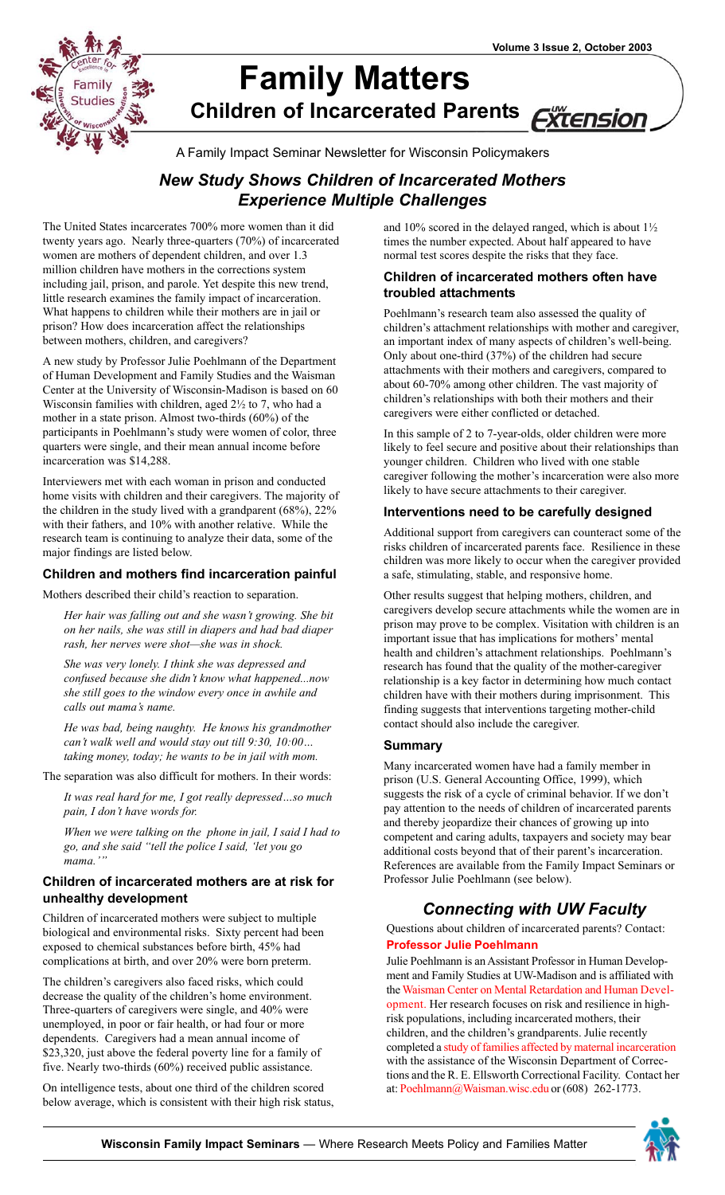

# **[Family Matters](http://www.uwex.edu/ces/familyimpact/newsletters.htm) Children of Incarcerated Parent[s](http://www1.uwex.edu/ces/)** <u>Xtension</u>

A Family Impact Seminar Newsletter for Wisconsin Policymakers

## *New Study Shows Children of Incarcerated Mothers Experience Multiple Challenges*

The United States incarcerates 700% more women than it did twenty years ago. Nearly three-quarters (70%) of incarcerated women are mothers of dependent children, and over 1.3 million children have mothers in the corrections system including jail, prison, and parole. Yet despite this new trend, little research examines the family impact of incarceration. What happens to children while their mothers are in jail or prison? How does incarceration affect the relationships between mothers, children, and caregivers?

A new study by Professor Julie Poehlmann of the Department of Human Development and Family Studies and the Waisman Center at the University of Wisconsin-Madison is based on 60 Wisconsin families with children, aged 2½ to 7, who had a mother in a state prison. Almost two-thirds (60%) of the participants in Poehlmann's study were women of color, three quarters were single, and their mean annual income before incarceration was \$14,288.

Interviewers met with each woman in prison and conducted home visits with children and their caregivers. The majority of the children in the study lived with a grandparent (68%), 22% with their fathers, and 10% with another relative. While the research team is continuing to analyze their data, some of the major findings are listed below.

#### **Children and mothers find incarceration painful**

Mothers described their child's reaction to separation.

*Her hair was falling out and she wasn't growing. She bit on her nails, she was still in diapers and had bad diaper rash, her nerves were shot—she was in shock.*

*She was very lonely. I think she was depressed and confused because she didn't know what happened...now she still goes to the window every once in awhile and calls out mama's name.*

*He was bad, being naughty. He knows his grandmother can't walk well and would stay out till 9:30, 10:00… taking money, today; he wants to be in jail with mom.*

The separation was also difficult for mothers. In their words:

*It was real hard for me, I got really depressed…so much pain, I don't have words for.*

*When we were talking on the phone in jail, I said I had to go, and she said "tell the police I said, 'let you go mama.'"*

#### **Children of incarcerated mothers are at risk for unhealthy development**

Children of incarcerated mothers were subject to multiple biological and environmental risks. Sixty percent had been exposed to chemical substances before birth, 45% had complications at birth, and over 20% were born preterm.

The children's caregivers also faced risks, which could decrease the quality of the children's home environment. Three-quarters of caregivers were single, and 40% were unemployed, in poor or fair health, or had four or more dependents. Caregivers had a mean annual income of \$23,320, just above the federal poverty line for a family of five. Nearly two-thirds (60%) received public assistance.

On intelligence tests, about one third of the children scored below average, which is consistent with their high risk status, and 10% scored in the delayed ranged, which is about 1½ times the number expected. About half appeared to have normal test scores despite the risks that they face.

#### **Children of incarcerated mothers often have troubled attachments**

Poehlmann's research team also assessed the quality of children's attachment relationships with mother and caregiver, an important index of many aspects of children's well-being. Only about one-third (37%) of the children had secure attachments with their mothers and caregivers, compared to about 60-70% among other children. The vast majority of children's relationships with both their mothers and their caregivers were either conflicted or detached.

In this sample of 2 to 7-year-olds, older children were more likely to feel secure and positive about their relationships than younger children. Children who lived with one stable caregiver following the mother's incarceration were also more likely to have secure attachments to their caregiver.

#### **Interventions need to be carefully designed**

Additional support from caregivers can counteract some of the risks children of incarcerated parents face. Resilience in these children was more likely to occur when the caregiver provided a safe, stimulating, stable, and responsive home.

Other results suggest that helping mothers, children, and caregivers develop secure attachments while the women are in prison may prove to be complex. Visitation with children is an important issue that has implications for mothers' mental health and children's attachment relationships. Poehlmann's research has found that the quality of the mother-caregiver relationship is a key factor in determining how much contact children have with their mothers during imprisonment. This finding suggests that interventions targeting mother-child contact should also include the caregiver.

#### **Summary**

Many incarcerated women have had a family member in prison (U.S. General Accounting Office, 1999), which suggests the risk of a cycle of criminal behavior. If we don't pay attention to the needs of children of incarcerated parents and thereby jeopardize their chances of growing up into competent and caring adults, taxpayers and society may bear additional costs beyond that of their parent's incarceration. References are available from the Family Impact Seminars or Professor Julie Poehlmann (see below).

## *Connecting with UW Faculty*

Questions about children of incarcerated parents? Contact: **[Professor Julie Poehlmann](http://www.waisman.wisc.edu/faculty/poehlmann.html)**

Julie Poehlmann is an Assistant Professor in Human Development and Family Studies at UW-Madison and is affiliated with [the Waisman Center on Mental Retardation and Human Devel](http://www.waisman.wisc.edu/mrddrc/sapfr.html)opment. Her research focuses on risk and resilience in highrisk populations, including incarcerated mothers, their children, and the children's grandparents. Julie recently completed [a study of families affected by maternal incarceration](http://www.waisman.wisc.edu/mrddrc/proj066.html) with the assistance of the Wisconsin Department of Corrections and the R. E. Ellsworth Correctional Facility. Contact her a[t: Poehlmann@Waisman.wisc.edu o](mailto:poehlmann@waisman.wisc.edu)r (608) 262-1773.